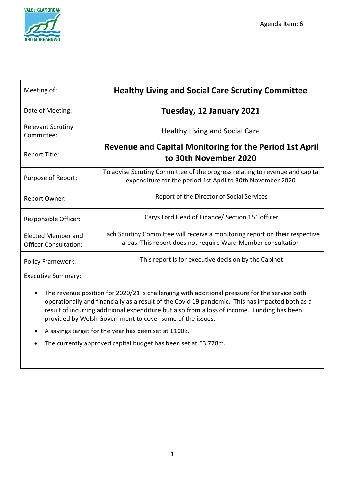

| Meeting of:                                        | <b>Healthy Living and Social Care Scrutiny Committee</b>                                                                                     |
|----------------------------------------------------|----------------------------------------------------------------------------------------------------------------------------------------------|
| Date of Meeting:                                   | Tuesday, 12 January 2021                                                                                                                     |
| <b>Relevant Scrutiny</b><br>Committee:             | <b>Healthy Living and Social Care</b>                                                                                                        |
| Report Title:                                      | <b>Revenue and Capital Monitoring for the Period 1st April</b><br>to 30th November 2020                                                      |
| Purpose of Report:                                 | To advise Scrutiny Committee of the progress relating to revenue and capital<br>expenditure for the period 1st April to 30th November 2020   |
| <b>Report Owner:</b>                               | Report of the Director of Social Services                                                                                                    |
| Responsible Officer:                               | Carys Lord Head of Finance/ Section 151 officer                                                                                              |
| Elected Member and<br><b>Officer Consultation:</b> | Each Scrutiny Committee will receive a monitoring report on their respective<br>areas. This report does not require Ward Member consultation |
| <b>Policy Framework:</b>                           | This report is for executive decision by the Cabinet                                                                                         |

Executive Summary:

- The revenue position for 2020/21 is challenging with additional pressure for the service both operationally and financially as a result of the Covid 19 pandemic. This has impacted both as a result of incurring additional expenditure but also from a loss of income. Funding has been provided by Welsh Government to cover some of the issues.
- A savings target for the year has been set at £100k.
- The currently approved capital budget has been set at £3.778m.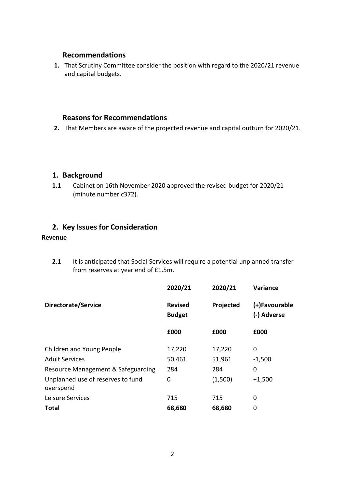#### **Recommendations**

**1.** That Scrutiny Committee consider the position with regard to the 2020/21 revenue and capital budgets.

#### **Reasons for Recommendations**

**2.** That Members are aware of the projected revenue and capital outturn for 2020/21.

#### **1. Background**

**1.1** Cabinet on 16th November 2020 approved the revised budget for 2020/21 (minute number c372).

### **2. Key Issues for Consideration**

#### **Revenue**

**2.1** It is anticipated that Social Services will require a potential unplanned transfer from reserves at year end of £1.5m.

|                                                | 2020/21                         | 2020/21   | <b>Variance</b>              |
|------------------------------------------------|---------------------------------|-----------|------------------------------|
| Directorate/Service                            | <b>Revised</b><br><b>Budget</b> | Projected | (+)Favourable<br>(-) Adverse |
|                                                | £000                            | £000      | £000                         |
| Children and Young People                      | 17,220                          | 17,220    | 0                            |
| <b>Adult Services</b>                          | 50,461                          | 51,961    | $-1,500$                     |
| Resource Management & Safeguarding             | 284                             | 284       | 0                            |
| Unplanned use of reserves to fund<br>overspend | 0                               | (1,500)   | $+1,500$                     |
| Leisure Services                               | 715                             | 715       | 0                            |
| <b>Total</b>                                   | 68,680                          | 68,680    | 0                            |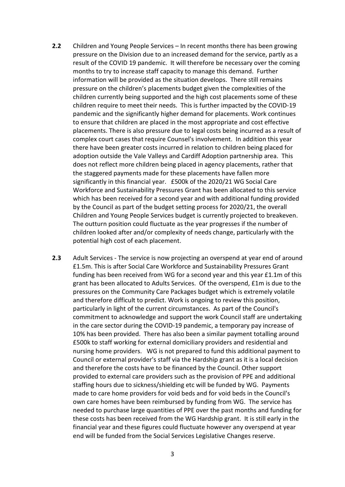- **2.2** Children and Young People Services In recent months there has been growing pressure on the Division due to an increased demand for the service, partly as a result of the COVID 19 pandemic. It will therefore be necessary over the coming months to try to increase staff capacity to manage this demand. Further information will be provided as the situation develops. There still remains pressure on the children's placements budget given the complexities of the children currently being supported and the high cost placements some of these children require to meet their needs. This is further impacted by the COVID-19 pandemic and the significantly higher demand for placements. Work continues to ensure that children are placed in the most appropriate and cost effective placements. There is also pressure due to legal costs being incurred as a result of complex court cases that require Counsel's involvement. In addition this year there have been greater costs incurred in relation to children being placed for adoption outside the Vale Valleys and Cardiff Adoption partnership area. This does not reflect more children being placed in agency placements, rather that the staggered payments made for these placements have fallen more significantly in this financial year. £500k of the 2020/21 WG Social Care Workforce and Sustainability Pressures Grant has been allocated to this service which has been received for a second year and with additional funding provided by the Council as part of the budget setting process for 2020/21, the overall Children and Young People Services budget is currently projected to breakeven. The outturn position could fluctuate as the year progresses if the number of children looked after and/or complexity of needs change, particularly with the potential high cost of each placement.
- **2.3** Adult Services The service is now projecting an overspend at year end of around £1.5m. This is after Social Care Workforce and Sustainability Pressures Grant funding has been received from WG for a second year and this year £1.1m of this grant has been allocated to Adults Services. Of the overspend, £1m is due to the pressures on the Community Care Packages budget which is extremely volatile and therefore difficult to predict. Work is ongoing to review this position, particularly in light of the current circumstances. As part of the Council's commitment to acknowledge and support the work Council staff are undertaking in the care sector during the COVID-19 pandemic, a temporary pay increase of 10% has been provided. There has also been a similar payment totalling around £500k to staff working for external domiciliary providers and residential and nursing home providers. WG is not prepared to fund this additional payment to Council or external provider's staff via the Hardship grant as it is a local decision and therefore the costs have to be financed by the Council. Other support provided to external care providers such as the provision of PPE and additional staffing hours due to sickness/shielding etc will be funded by WG. Payments made to care home providers for void beds and for void beds in the Council's own care homes have been reimbursed by funding from WG. The service has needed to purchase large quantities of PPE over the past months and funding for these costs has been received from the WG Hardship grant. It is still early in the financial year and these figures could fluctuate however any overspend at year end will be funded from the Social Services Legislative Changes reserve.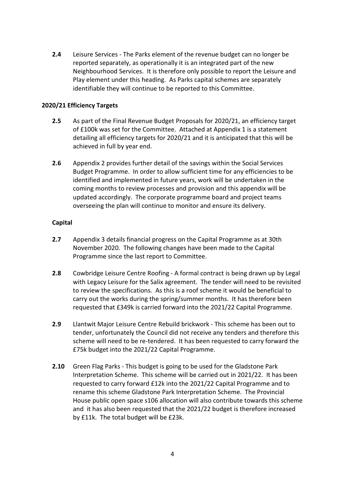**2.4** Leisure Services - The Parks element of the revenue budget can no longer be reported separately, as operationally it is an integrated part of the new Neighbourhood Services. It is therefore only possible to report the Leisure and Play element under this heading. As Parks capital schemes are separately identifiable they will continue to be reported to this Committee.

#### **2020/21 Efficiency Targets**

- **2.5** As part of the Final Revenue Budget Proposals for 2020/21, an efficiency target of £100k was set for the Committee. Attached at Appendix 1 is a statement detailing all efficiency targets for 2020/21 and it is anticipated that this will be achieved in full by year end.
- **2.6** Appendix 2 provides further detail of the savings within the Social Services Budget Programme. In order to allow sufficient time for any efficiencies to be identified and implemented in future years, work will be undertaken in the coming months to review processes and provision and this appendix will be updated accordingly. The corporate programme board and project teams overseeing the plan will continue to monitor and ensure its delivery.

#### **Capital**

- **2.7** Appendix 3 details financial progress on the Capital Programme as at 30th November 2020. The following changes have been made to the Capital Programme since the last report to Committee.
- **2.8** Cowbridge Leisure Centre Roofing A formal contract is being drawn up by Legal with Legacy Leisure for the Salix agreement. The tender will need to be revisited to review the specifications. As this is a roof scheme it would be beneficial to carry out the works during the spring/summer months. It has therefore been requested that £349k is carried forward into the 2021/22 Capital Programme.
- **2.9** Llantwit Major Leisure Centre Rebuild brickwork This scheme has been out to tender, unfortunately the Council did not receive any tenders and therefore this scheme will need to be re-tendered. It has been requested to carry forward the £75k budget into the 2021/22 Capital Programme.
- **2.10** Green Flag Parks This budget is going to be used for the Gladstone Park Interpretation Scheme. This scheme will be carried out in 2021/22. It has been requested to carry forward £12k into the 2021/22 Capital Programme and to rename this scheme Gladstone Park Interpretation Scheme. The Provincial House public open space s106 allocation will also contribute towards this scheme and it has also been requested that the 2021/22 budget is therefore increased by £11k. The total budget will be £23k.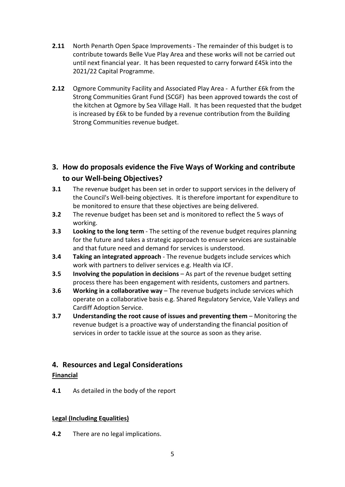- **2.11** North Penarth Open Space Improvements The remainder of this budget is to contribute towards Belle Vue Play Area and these works will not be carried out until next financial year. It has been requested to carry forward £45k into the 2021/22 Capital Programme.
- **2.12** Ogmore Community Facility and Associated Play Area A further £6k from the Strong Communities Grant Fund (SCGF) has been approved towards the cost of the kitchen at Ogmore by Sea Village Hall. It has been requested that the budget is increased by £6k to be funded by a revenue contribution from the Building Strong Communities revenue budget.

### **3. How do proposals evidence the Five Ways of Working and contribute to our Well-being Objectives?**

- **3.1** The revenue budget has been set in order to support services in the delivery of the Council's Well-being objectives. It is therefore important for expenditure to be monitored to ensure that these objectives are being delivered.
- **3.2** The revenue budget has been set and is monitored to reflect the 5 ways of working.
- **3.3 Looking to the long term** The setting of the revenue budget requires planning for the future and takes a strategic approach to ensure services are sustainable and that future need and demand for services is understood.
- **3.4 Taking an integrated approach** The revenue budgets include services which work with partners to deliver services e.g. Health via ICF.
- **3.5 Involving the population in decisions** As part of the revenue budget setting process there has been engagement with residents, customers and partners.
- **3.6 Working in a collaborative way** The revenue budgets include services which operate on a collaborative basis e.g. Shared Regulatory Service, Vale Valleys and Cardiff Adoption Service.
- **3.7 Understanding the root cause of issues and preventing them** Monitoring the revenue budget is a proactive way of understanding the financial position of services in order to tackle issue at the source as soon as they arise.

#### **4. Resources and Legal Considerations**

#### **Financial**

**4.1** As detailed in the body of the report

#### **Legal (Including Equalities)**

**4.2** There are no legal implications.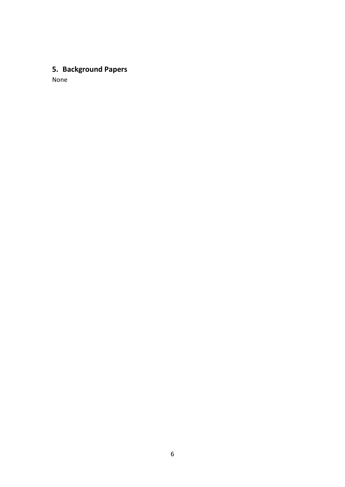## **5. Background Papers**

None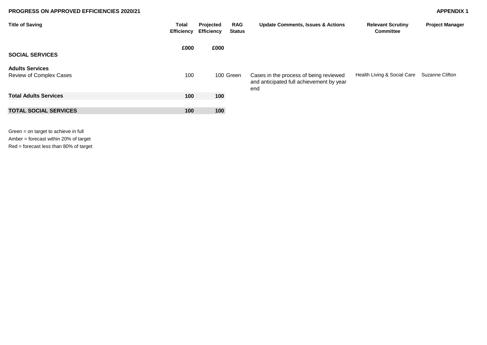#### **PROGRESS ON APPROVED EFFICIENCIES 2020/21 APPENDIX 1**

| <b>Title of Saving</b>                            | Total<br><b>Efficiency</b> | Projected<br><b>Efficiency</b> | <b>RAG</b><br><b>Status</b> | <b>Update Comments, Issues &amp; Actions</b>                                              | <b>Relevant Scrutiny</b><br><b>Committee</b> | <b>Project Manager</b> |
|---------------------------------------------------|----------------------------|--------------------------------|-----------------------------|-------------------------------------------------------------------------------------------|----------------------------------------------|------------------------|
| <b>SOCIAL SERVICES</b>                            | £000                       | £000                           |                             |                                                                                           |                                              |                        |
| <b>Adults Services</b><br>Review of Complex Cases | 100                        |                                | 100 Green                   | Cases in the process of being reviewed<br>and anticipated full achievement by year<br>end | Health Living & Social Care                  | <b>Suzanne Clifton</b> |
| <b>Total Adults Services</b>                      | 100                        | 100                            |                             |                                                                                           |                                              |                        |
| <b>TOTAL SOCIAL SERVICES</b>                      | 100                        | 100                            |                             |                                                                                           |                                              |                        |

Green = on target to achieve in full Amber = forecast within 20% of target Red = forecast less than 80% of target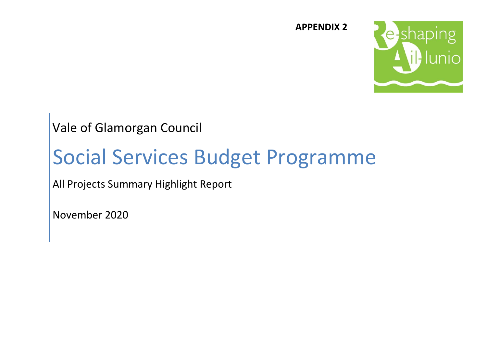

**APPENDIX 2**

Vale of Glamorgan Council

# Social Services Budget Programme

All Projects Summary Highlight Report

November 2020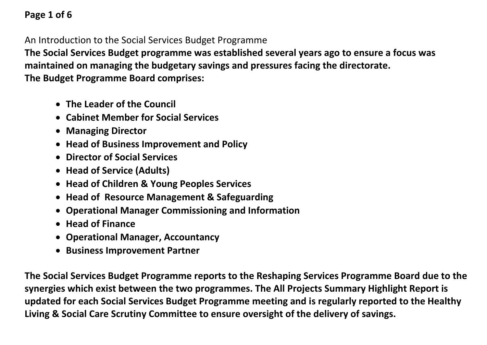## **Page 1 of 6**

An Introduction to the Social Services Budget Programme

**The Social Services Budget programme was established several years ago to ensure a focus was maintained on managing the budgetary savings and pressures facing the directorate. The Budget Programme Board comprises:**

- **The Leader of the Council**
- **Cabinet Member for Social Services**
- **Managing Director**
- **Head of Business Improvement and Policy**
- **Director of Social Services**
- **Head of Service (Adults)**
- **Head of Children & Young Peoples Services**
- **Head of Resource Management & Safeguarding**
- **Operational Manager Commissioning and Information**
- **Head of Finance**
- **Operational Manager, Accountancy**
- **Business Improvement Partner**

**The Social Services Budget Programme reports to the Reshaping Services Programme Board due to the synergies which exist between the two programmes. The All Projects Summary Highlight Report is updated for each Social Services Budget Programme meeting and is regularly reported to the Healthy Living & Social Care Scrutiny Committee to ensure oversight of the delivery of savings.**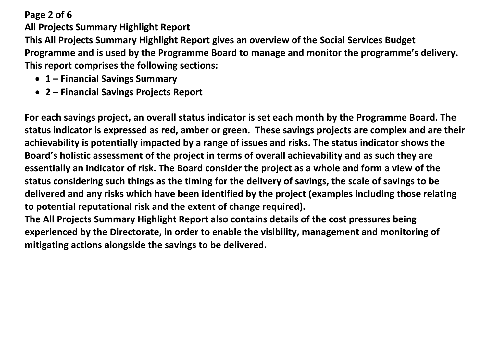## **Page 2 of 6**

**All Projects Summary Highlight Report**

**This All Projects Summary Highlight Report gives an overview of the Social Services Budget Programme and is used by the Programme Board to manage and monitor the programme's delivery. This report comprises the following sections:**

- **1 – Financial Savings Summary**
- **2 – Financial Savings Projects Report**

**For each savings project, an overall status indicator is set each month by the Programme Board. The status indicator is expressed as red, amber or green. These savings projects are complex and are their achievability is potentially impacted by a range of issues and risks. The status indicator shows the Board's holistic assessment of the project in terms of overall achievability and as such they are essentially an indicator of risk. The Board consider the project as a whole and form a view of the status considering such things as the timing for the delivery of savings, the scale of savings to be delivered and any risks which have been identified by the project (examples including those relating to potential reputational risk and the extent of change required).** 

**The All Projects Summary Highlight Report also contains details of the cost pressures being experienced by the Directorate, in order to enable the visibility, management and monitoring of mitigating actions alongside the savings to be delivered.**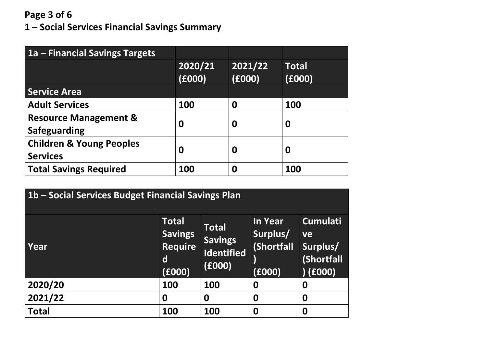## **Page 3 of 6**

**1 – Social Services Financial Savings Summary** 

| 1a – Financial Savings Targets                          |                   |                   |                        |
|---------------------------------------------------------|-------------------|-------------------|------------------------|
|                                                         | 2020/21<br>(6000) | 2021/22<br>(6000) | <b>Total</b><br>(6000) |
| <b>Service Area</b>                                     |                   |                   |                        |
| <b>Adult Services</b>                                   | 100               | 0                 | 100                    |
| <b>Resource Management &amp;</b><br><b>Safeguarding</b> | 0                 | 0                 | 0                      |
| <b>Children &amp; Young Peoples</b>                     | 0                 | 0                 | 0                      |
| <b>Services</b>                                         |                   |                   |                        |
| <b>Total Savings Required</b>                           | 100               | 0                 | 100                    |

| 1b - Social Services Budget Financial Savings Plan |                                                                            |                                                               |                                             |                                                           |  |  |  |
|----------------------------------------------------|----------------------------------------------------------------------------|---------------------------------------------------------------|---------------------------------------------|-----------------------------------------------------------|--|--|--|
| Year                                               | <b>Total</b><br><b>Savings</b><br><b>Require</b><br>$\mathsf{d}$<br>(6000) | <b>Total</b><br><b>Savings</b><br><b>Identified</b><br>(6000) | In Year<br>Surplus/<br>(Shortfall<br>(6000) | <b>Cumulati</b><br>ve<br>Surplus/<br>(Shortfall<br>(6000) |  |  |  |
| 2020/20                                            | 100                                                                        | <b>100</b>                                                    | 0                                           | 0                                                         |  |  |  |
| 2021/22                                            | 0                                                                          | 0                                                             | 0                                           | 0                                                         |  |  |  |
| <b>Total</b>                                       | 100                                                                        | 100                                                           | 0                                           | 0                                                         |  |  |  |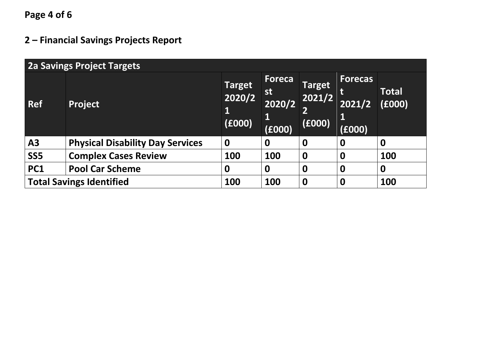**Page 4 of 6**

## **2 – Financial Savings Projects Report**

| <b>2a Savings Project Targets</b> |                                         |                                        |                                              |                            |                                    |                  |  |
|-----------------------------------|-----------------------------------------|----------------------------------------|----------------------------------------------|----------------------------|------------------------------------|------------------|--|
| <b>Ref</b>                        | <b>Project</b>                          | <b>Target</b><br>2020/2<br>1<br>(6000) | <b>Foreca</b><br>st<br>2020/2<br>Ц<br>(6000) | Target<br>2021/2<br>(£000) | <b>Forecas</b><br>2021/2<br>(£000) | Total<br>(6000)  |  |
| A3                                | <b>Physical Disability Day Services</b> | $\boldsymbol{0}$                       | $\boldsymbol{0}$                             | $\boldsymbol{0}$           | $\bf{0}$                           | $\boldsymbol{0}$ |  |
| SS <sub>5</sub>                   | <b>Complex Cases Review</b>             | 100                                    | 100                                          | $\mathbf 0$                | $\boldsymbol{0}$                   | 100              |  |
| PC1                               | <b>Pool Car Scheme</b>                  | 0                                      | $\boldsymbol{0}$                             | $\mathbf 0$                | $\mathbf 0$                        | $\mathbf 0$      |  |
|                                   | <b>Total Savings Identified</b>         | 100                                    | 100                                          | $\mathbf 0$                | $\mathbf 0$                        | 100              |  |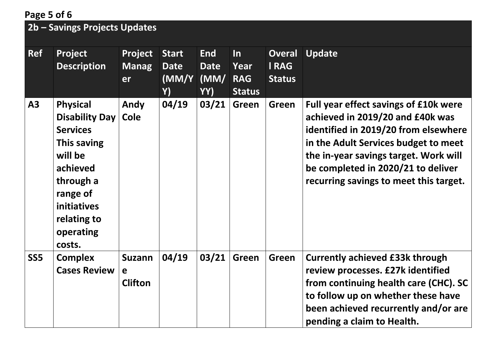## **Page 5 of 6**

## **2b – Savings Projects Updates**

| <b>Ref</b>      | Project<br><b>Description</b>                                                                                                                                                          | Project<br><b>Manag</b><br>er        | <b>Start</b><br><b>Date</b><br>(MM/Y<br>Y) | <b>End</b><br><b>Date</b><br>(MM)<br>YY) | $\ln$<br>Year<br><b>RAG</b><br><b>Status</b> | <b>Overal</b><br><b>IRAG</b><br><b>Status</b> | <b>Update</b>                                                                                                                                                                                                                                                                      |
|-----------------|----------------------------------------------------------------------------------------------------------------------------------------------------------------------------------------|--------------------------------------|--------------------------------------------|------------------------------------------|----------------------------------------------|-----------------------------------------------|------------------------------------------------------------------------------------------------------------------------------------------------------------------------------------------------------------------------------------------------------------------------------------|
| <b>A3</b>       | <b>Physical</b><br><b>Disability Day</b><br><b>Services</b><br>This saving<br>will be<br>achieved<br>through a<br>range of<br><b>initiatives</b><br>relating to<br>operating<br>costs. | Andy<br>Cole                         | 04/19                                      | 03/21                                    | <b>Green</b>                                 | <b>Green</b>                                  | Full year effect savings of £10k were<br>achieved in 2019/20 and £40k was<br>identified in 2019/20 from elsewhere<br>in the Adult Services budget to meet<br>the in-year savings target. Work will<br>be completed in 2020/21 to deliver<br>recurring savings to meet this target. |
| SS <sub>5</sub> | <b>Complex</b><br><b>Cases Review</b>                                                                                                                                                  | <b>Suzann</b><br>e<br><b>Clifton</b> | 04/19                                      | 03/21                                    | <b>Green</b>                                 | <b>Green</b>                                  | <b>Currently achieved £33k through</b><br>review processes. £27k identified<br>from continuing health care (CHC). SC<br>to follow up on whether these have<br>been achieved recurrently and/or are<br>pending a claim to Health.                                                   |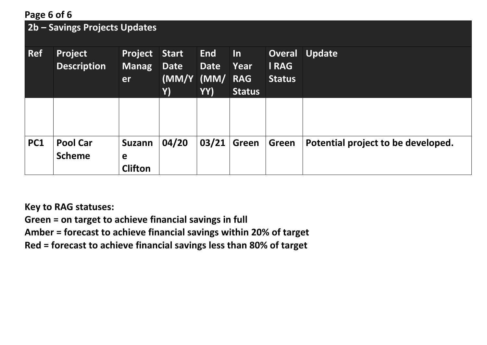## **Page 6 of 6**

## **2b – Savings Projects Updates**

| <b>Ref</b> | <b>Project</b><br><b>Description</b> | <b>Project</b><br><b>Manag</b><br>er | <b>Start</b><br><b>Date</b><br>(MM/Y (MM/ RAG)<br>Y) | <b>End</b><br><b>Date</b><br>YY) | $\ln$<br>Year<br><b>Status</b> | <b>Overal</b><br><b>IRAG</b><br><b>Status</b> | <b>Update</b>                      |
|------------|--------------------------------------|--------------------------------------|------------------------------------------------------|----------------------------------|--------------------------------|-----------------------------------------------|------------------------------------|
|            |                                      |                                      |                                                      |                                  |                                |                                               |                                    |
| <b>PC1</b> | <b>Pool Car</b><br><b>Scheme</b>     | <b>Suzann</b><br>e<br><b>Clifton</b> | 04/20                                                | 03/21                            | Green                          | Green                                         | Potential project to be developed. |

**Key to RAG statuses:**

**Green = on target to achieve financial savings in full**

**Amber = forecast to achieve financial savings within 20% of target**

**Red = forecast to achieve financial savings less than 80% of target**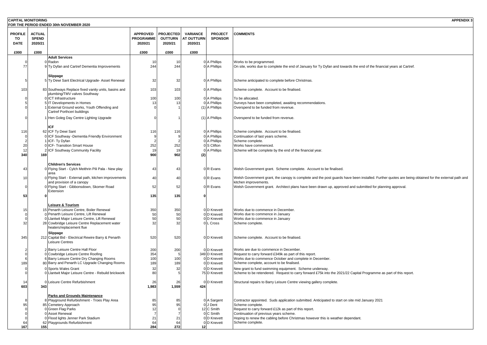| <b>CAPITAL MONITORING</b>           |                                          |                                                                                     |                                                |                                               |                                                 |                                  | <b>APPENDIX 3</b>                                                                                                                                                            |
|-------------------------------------|------------------------------------------|-------------------------------------------------------------------------------------|------------------------------------------------|-----------------------------------------------|-------------------------------------------------|----------------------------------|------------------------------------------------------------------------------------------------------------------------------------------------------------------------------|
|                                     |                                          | FOR THE PERIOD ENDED 30th NOVEMBER 2020                                             |                                                |                                               |                                                 |                                  |                                                                                                                                                                              |
| <b>PROFILE</b><br>TO<br><b>DATE</b> | <b>ACTUAL</b><br><b>SPEND</b><br>2020/21 |                                                                                     | <b>APPROVED</b><br><b>PROGRAMME</b><br>2020/21 | <b>PROJECTED</b><br><b>OUTTURN</b><br>2020/21 | <b>VARIANCE</b><br><b>AT OUTTURN</b><br>2020/21 | <b>PROJECT</b><br><b>SPONSOR</b> | <b>COMMENTS</b>                                                                                                                                                              |
| £000                                | £000                                     |                                                                                     | £000                                           | £000                                          | £000                                            |                                  |                                                                                                                                                                              |
|                                     |                                          | <b>Adult Services</b>                                                               |                                                |                                               |                                                 |                                  |                                                                                                                                                                              |
|                                     |                                          | 0 Radon                                                                             | 10                                             | -10                                           |                                                 | 0 A Phillips                     | Works to be programmed.                                                                                                                                                      |
| 77                                  |                                          | 9 Ty Dyfan and Cartref Dementia Improvements                                        | 244                                            | 244                                           |                                                 | 0 A Phillips                     | On site, works due to complete the end of January for Ty Dyfan and towards the end of the financial years at Cartref.                                                        |
|                                     |                                          | Slippage<br>5 Ty Dewi Sant Electrical Upgrade- Asset Renewal                        | 32                                             | 32                                            |                                                 | 0 A Phillips                     | Scheme anticipated to complete before Christmas.                                                                                                                             |
| 103                                 |                                          | 83 Southways Replace fixed vanity units, basins and<br>plumbing/TMV valves Southway | 103                                            | 103                                           |                                                 | 0 A Phillips                     | Scheme complete. Account to be finalised.                                                                                                                                    |
|                                     |                                          | 0 ICT Infrastructure                                                                | 100                                            | 100                                           |                                                 | 0 A Phillips                     | To be allocated.                                                                                                                                                             |
|                                     |                                          | 5 IT Developments in Homes                                                          | 13                                             | 13                                            |                                                 | 0 A Phillips                     | Surveys have been completed, awaiting recommendations.                                                                                                                       |
|                                     |                                          | External Ground works, Youth Offending and<br>Cartref Porthceri buildings           | $\Omega$                                       |                                               |                                                 | (1) A Phillips                   | Overspend to be funded from revenue.                                                                                                                                         |
|                                     |                                          | 1 Hen Goleg Day Centre Lighting Upgrade                                             | $\Omega$                                       |                                               |                                                 | (1) A Phillips                   | Overspend to be funded from revenue.                                                                                                                                         |
|                                     |                                          | ICF                                                                                 |                                                |                                               |                                                 |                                  |                                                                                                                                                                              |
| 116                                 |                                          | 62 ICF Ty Dewi Sant                                                                 | 116                                            | 116                                           |                                                 | 0 A Phillips                     | Scheme complete. Account to be finalised.                                                                                                                                    |
|                                     |                                          | 0 ICF Southway -Dementia Friendly Environment                                       |                                                |                                               |                                                 | 0 A Phillips                     | Continuation of last years scheme.                                                                                                                                           |
|                                     |                                          | ICF-Ty Dyfan                                                                        |                                                |                                               |                                                 | 0 A Phillips                     | Scheme complete.                                                                                                                                                             |
| 20                                  |                                          | 0 ICF- Transition Smart House                                                       | 252                                            | 252                                           |                                                 | 0 S Clifton                      | Works have commenced.                                                                                                                                                        |
| 12                                  |                                          | 2 ICF Southway Community Facility                                                   | 19                                             | 19                                            |                                                 | 0 A Phillips                     | Scheme will be complete by the end of the financial year.                                                                                                                    |
| 340                                 | 169                                      |                                                                                     | 900                                            | 902                                           | (2)                                             |                                  |                                                                                                                                                                              |
|                                     |                                          | <b>Children's Services</b>                                                          |                                                |                                               |                                                 |                                  |                                                                                                                                                                              |
| 43                                  |                                          | 0 Flying Start - Cylch Meithrin Pili Pala - New play                                | 43                                             | 43                                            |                                                 | 0 R Evans                        | Welsh Government grant. Scheme complete. Account to be finalised.                                                                                                            |
|                                     |                                          | area                                                                                |                                                |                                               |                                                 |                                  |                                                                                                                                                                              |
| 10                                  |                                          | 0 Flying Start - External path, kitchen improvements<br>and provision of a canopy   | 40                                             | 40                                            |                                                 | 0 R Evans                        | Welsh Government grant, the canopy is complete and the post guards have been installed. Further quotes are being obtained for the external path and<br>kitchen improvements. |
|                                     |                                          | 0 Flying Start - Gibbonsdown, Skomer Road                                           | 52                                             | 52                                            |                                                 | 0 R Evans                        | Welsh Government grant. Architect plans have been drawn up, approved and submitted for planning approval.                                                                    |
| 53                                  |                                          | Extension                                                                           | 135                                            | 135                                           |                                                 |                                  |                                                                                                                                                                              |
|                                     |                                          |                                                                                     |                                                |                                               |                                                 |                                  |                                                                                                                                                                              |
|                                     |                                          | Leisure & Tourism                                                                   |                                                |                                               |                                                 |                                  |                                                                                                                                                                              |
| 15                                  |                                          | 15 Penarth Leisure Centre, Boiler Renewal                                           | 350                                            | 350                                           |                                                 | 0 D Knevett                      | Works due to commence in December.                                                                                                                                           |
|                                     |                                          | 0 Penarth Leisure Centre, Lift Renewal                                              | 50                                             | 50                                            |                                                 | 0 D Knevett                      | Works due to commence in January                                                                                                                                             |
|                                     |                                          | 0 Llantwit Major Leisure Centre, Lift Renewal                                       | 50                                             | 50                                            |                                                 | 0 D Knevett                      | Works due to commence in January                                                                                                                                             |
| 32                                  |                                          | 28 Cowbridge Leisure Centre Replacement water                                       | 32                                             | 32                                            |                                                 | 0 L Cross                        | Scheme complete.                                                                                                                                                             |
|                                     |                                          | heaters/replacement flue                                                            |                                                |                                               |                                                 |                                  |                                                                                                                                                                              |
|                                     |                                          | Slippage                                                                            |                                                |                                               |                                                 |                                  |                                                                                                                                                                              |
| 345                                 |                                          | 212 Capital Bid - Electrical Rewire Barry & Penarth                                 | 520                                            | 520                                           |                                                 | 0 D Knevett                      | Scheme complete. Account to be finalised.                                                                                                                                    |
|                                     |                                          | Leisure Centres                                                                     |                                                |                                               |                                                 |                                  |                                                                                                                                                                              |
|                                     |                                          | 2 Barry Leisure Centre Hall Floor                                                   | 200                                            | 200                                           |                                                 | 0 D Knevett                      | Works are due to commence in December.                                                                                                                                       |
|                                     |                                          | 0 Cowbridge Leisure Centre Roofing                                                  | 354                                            |                                               |                                                 | 349 D Knevett                    | Request to carry forward £349k as part of this report.                                                                                                                       |
|                                     |                                          | 6 Barry Leisure Centre Dry Changing Rooms                                           | 100                                            | 100                                           |                                                 | 0 D Knevett                      | Works due to commence October and complete in December.                                                                                                                      |
| 189                                 |                                          | 80 Barry and Penarth LC Upgrade Changing Rooms                                      | 189                                            | 189                                           |                                                 | 0 D Knevett                      | Scheme complete, account to be finalised.                                                                                                                                    |
|                                     |                                          | Sports Wales Grant                                                                  | 32                                             | 32                                            |                                                 | 0 D Knevett                      | New grant to fund swimming equipment. Scheme underway.                                                                                                                       |
|                                     |                                          | 0 Llantwit Major Leisure Centre - Rebuild brickwork                                 | 80                                             |                                               |                                                 | 75 D Knevett                     | Scheme to be retendered. Request to carry forward £75k into the 2021/22 Capital Programme as part of this report.                                                            |
| 14                                  |                                          | Leisure Centre Refurbishment                                                        | 26                                             | 26                                            |                                                 | 0 D Knevett                      | Structural repairs to Barry Leisure Centre viewing gallery complete.                                                                                                         |
| 603                                 | 343                                      |                                                                                     | 1,983                                          | 1,559                                         | 424                                             |                                  |                                                                                                                                                                              |
|                                     |                                          |                                                                                     |                                                |                                               |                                                 |                                  |                                                                                                                                                                              |
|                                     |                                          | <b>Parks and Grounds Maintenance</b>                                                |                                                |                                               |                                                 |                                  |                                                                                                                                                                              |
|                                     |                                          | 8 Playground Refurbishment - Troes Play Area                                        | 85                                             | 85                                            |                                                 | 0 A Sargent                      | Contractor appointed. Suds application submitted. Anticipated to start on site mid January 2021                                                                              |
| 95                                  |                                          | 85 Cemetery Approach                                                                | 95                                             | 95                                            |                                                 | 0 J Dent                         | Scheme complete.                                                                                                                                                             |
|                                     |                                          | 0 Green Flag Parks                                                                  | 12                                             |                                               |                                                 | 12 C Smith                       | Request to carry forward £12k as part of this report.                                                                                                                        |
|                                     |                                          | 0 Asset Renewal                                                                     |                                                |                                               |                                                 | 0 C Smith                        | Continuation of previous years scheme.                                                                                                                                       |
| 64                                  |                                          | 0 Flood lights Jenner Park Stadium<br>62 Playgrounds Refurbishment                  | 21<br>64                                       | 21<br>64                                      |                                                 | 0 D Knevett<br>0 D Knevett       | Hoping to renew the cabling before Christmas however this is weather dependant.<br>Scheme complete.                                                                          |
| 167                                 | 155                                      |                                                                                     | 284                                            | 272                                           | 12                                              |                                  |                                                                                                                                                                              |
|                                     |                                          |                                                                                     |                                                |                                               |                                                 |                                  |                                                                                                                                                                              |